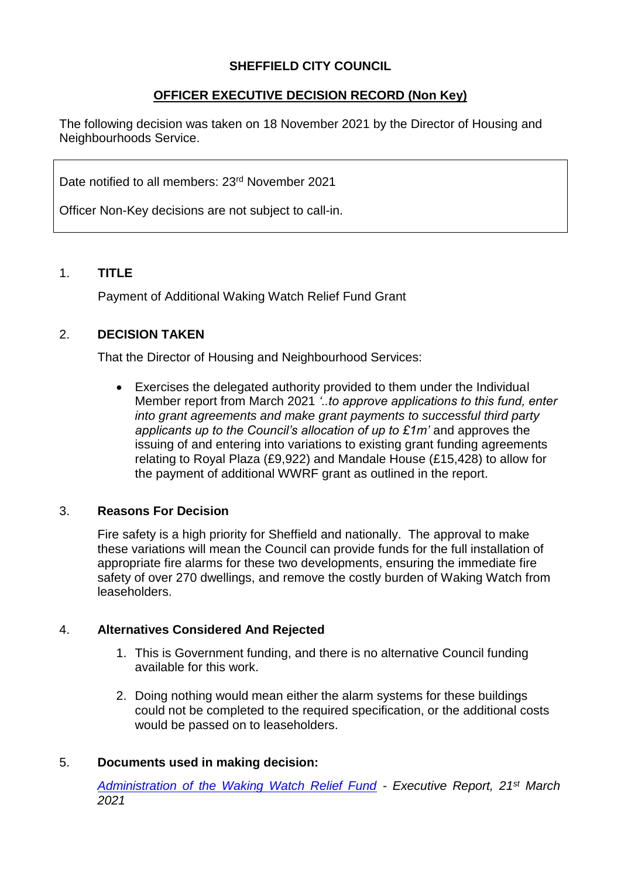### **SHEFFIELD CITY COUNCIL**

# **OFFICER EXECUTIVE DECISION RECORD (Non Key)**

The following decision was taken on 18 November 2021 by the Director of Housing and Neighbourhoods Service.

Date notified to all members: 23<sup>rd</sup> November 2021

Officer Non-Key decisions are not subject to call-in.

### 1. **TITLE**

Payment of Additional Waking Watch Relief Fund Grant

## 2. **DECISION TAKEN**

That the Director of Housing and Neighbourhood Services:

 Exercises the delegated authority provided to them under the Individual Member report from March 2021 *'..to approve applications to this fund, enter into grant agreements and make grant payments to successful third party applicants up to the Council's allocation of up to £1m'* and approves the issuing of and entering into variations to existing grant funding agreements relating to Royal Plaza (£9,922) and Mandale House (£15,428) to allow for the payment of additional WWRF grant as outlined in the report.

#### 3. **Reasons For Decision**

Fire safety is a high priority for Sheffield and nationally. The approval to make these variations will mean the Council can provide funds for the full installation of appropriate fire alarms for these two developments, ensuring the immediate fire safety of over 270 dwellings, and remove the costly burden of Waking Watch from leaseholders.

#### 4. **Alternatives Considered And Rejected**

- 1. This is Government funding, and there is no alternative Council funding available for this work.
- 2. Doing nothing would mean either the alarm systems for these buildings could not be completed to the required specification, or the additional costs would be passed on to leaseholders.

#### 5. **Documents used in making decision:**

*[Administration of the Waking Watch Relief Fund](https://democracy.sheffield.gov.uk/documents/s43833/Form%202%20-%20Executive%20Report%20WWRF.pdf) - Executive Report, 21st March 2021*